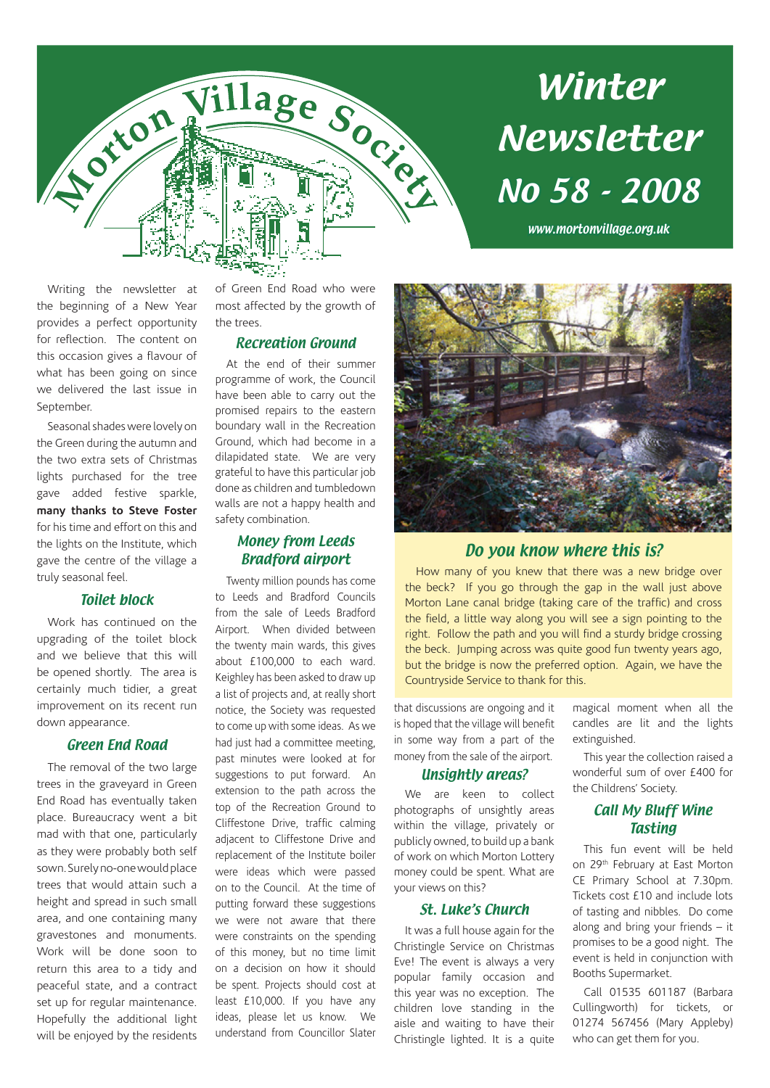

# Winter Newsletter No 58 - 2008

www.mortonvillage.org.uk

Writing the newsletter at the beginning of a New Year provides a perfect opportunity for reflection. The content on this occasion gives a flavour of what has been going on since we delivered the last issue in September.

Seasonal shades were lovely on the Green during the autumn and the two extra sets of Christmas lights purchased for the tree gave added festive sparkle, **many thanks to Steve Foster** for his time and effort on this and the lights on the Institute, which gave the centre of the village a truly seasonal feel.

#### Toilet block

Work has continued on the upgrading of the toilet block and we believe that this will be opened shortly. The area is certainly much tidier, a great improvement on its recent run down appearance.

#### Green End Road

The removal of the two large trees in the graveyard in Green End Road has eventually taken place. Bureaucracy went a bit mad with that one, particularly as they were probably both self sown. Surely no-one would place trees that would attain such a height and spread in such small area, and one containing many gravestones and monuments. Work will be done soon to return this area to a tidy and peaceful state, and a contract set up for regular maintenance. Hopefully the additional light will be enjoyed by the residents of Green End Road who were most affected by the growth of the trees.

#### Recreation Ground

At the end of their summer programme of work, the Council have been able to carry out the promised repairs to the eastern boundary wall in the Recreation Ground, which had become in a dilapidated state. We are very grateful to have this particular job done as children and tumbledown walls are not a happy health and safety combination.

#### Money from Leeds Bradford airport

Twenty million pounds has come to Leeds and Bradford Councils from the sale of Leeds Bradford Airport. When divided between the twenty main wards, this gives about £100,000 to each ward. Keighley has been asked to draw up a list of projects and, at really short notice, the Society was requested to come up with some ideas. As we had just had a committee meeting, past minutes were looked at for suggestions to put forward. An extension to the path across the top of the Recreation Ground to Cliffestone Drive, traffic calming adjacent to Cliffestone Drive and replacement of the Institute boiler were ideas which were passed on to the Council. At the time of putting forward these suggestions we were not aware that there were constraints on the spending of this money, but no time limit on a decision on how it should be spent. Projects should cost at least £10,000. If you have any ideas, please let us know. We understand from Councillor Slater



### Do you know where this is?

How many of you knew that there was a new bridge over the beck? If you go through the gap in the wall just above Morton Lane canal bridge (taking care of the traffic) and cross the field, a little way along you will see a sign pointing to the right. Follow the path and you will find a sturdy bridge crossing the beck. Jumping across was quite good fun twenty years ago, but the bridge is now the preferred option. Again, we have the Countryside Service to thank for this.

that discussions are ongoing and it is hoped that the village will benefit in some way from a part of the money from the sale of the airport.

#### Unsightly areas?

We are keen to collect photographs of unsightly areas within the village, privately or publicly owned, to build up a bank of work on which Morton Lottery money could be spent. What are your views on this?

#### St. Luke's Church

It was a full house again for the Christingle Service on Christmas Eve! The event is always a very popular family occasion and this year was no exception. The children love standing in the aisle and waiting to have their Christingle lighted. It is a quite magical moment when all the candles are lit and the lights extinguished.

This year the collection raised a wonderful sum of over £400 for the Childrens' Society.

#### Call My Bluff Wine Tasting

This fun event will be held on 29<sup>th</sup> February at East Morton CE Primary School at 7.30pm. Tickets cost £10 and include lots of tasting and nibbles. Do come along and bring your friends – it promises to be a good night. The event is held in conjunction with Booths Supermarket.

Call 01535 601187 (Barbara Cullingworth) for tickets, or 01274 567456 (Mary Appleby) who can get them for you.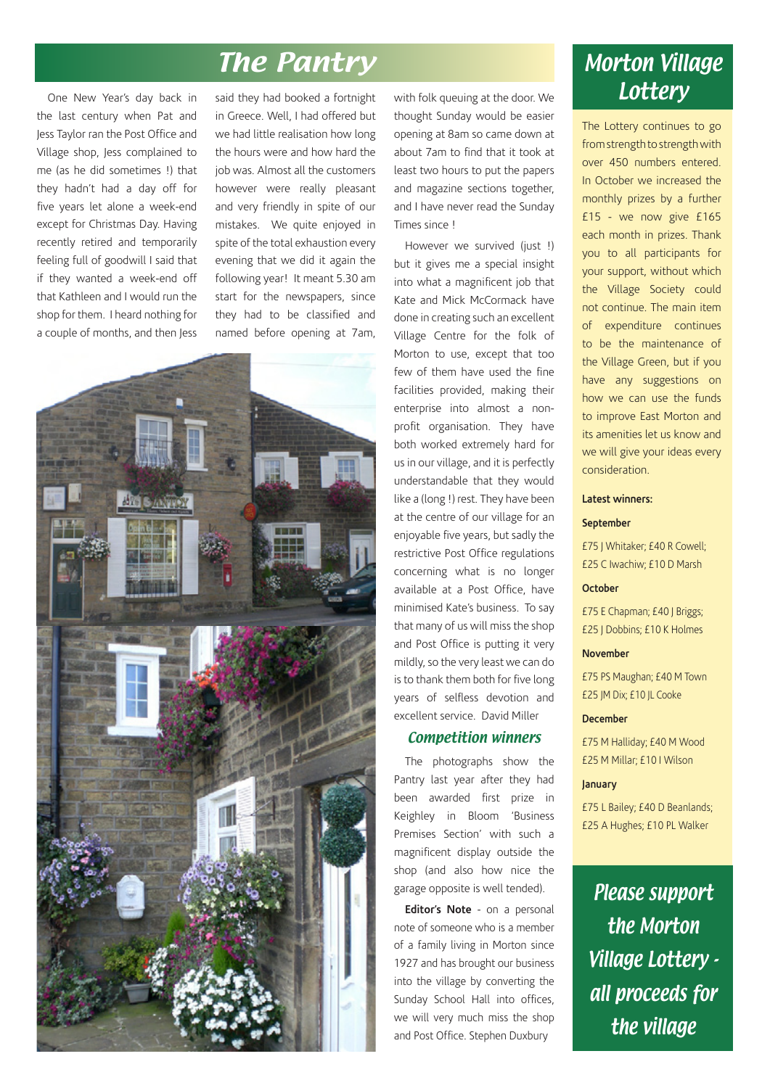## **The Pantry Morton Village**

One New Year's day back in the last century when Pat and Jess Taylor ran the Post Office and Village shop, Jess complained to me (as he did sometimes !) that they hadn't had a day off for five years let alone a week-end except for Christmas Day. Having recently retired and temporarily feeling full of goodwill I said that if they wanted a week-end off that Kathleen and I would run the shop for them. I heard nothing for a couple of months, and then Jess said they had booked a fortnight in Greece. Well, I had offered but we had little realisation how long the hours were and how hard the job was. Almost all the customers however were really pleasant and very friendly in spite of our mistakes. We quite enjoyed in spite of the total exhaustion every evening that we did it again the following year! It meant 5.30 am start for the newspapers, since they had to be classified and named before opening at 7am,



with folk queuing at the door. We thought Sunday would be easier opening at 8am so came down at about 7am to find that it took at least two hours to put the papers and magazine sections together, and I have never read the Sunday Times since !

However we survived (just !) but it gives me a special insight into what a magnificent job that Kate and Mick McCormack have done in creating such an excellent Village Centre for the folk of Morton to use, except that too few of them have used the fine facilities provided, making their enterprise into almost a nonprofit organisation. They have both worked extremely hard for us in our village, and it is perfectly understandable that they would like a (long !) rest. They have been at the centre of our village for an enjoyable five years, but sadly the restrictive Post Office regulations concerning what is no longer available at a Post Office, have minimised Kate's business. To say that many of us will miss the shop and Post Office is putting it very mildly, so the very least we can do is to thank them both for five long years of selfless devotion and excellent service. David Miller

#### Competition winners

The photographs show the Pantry last year after they had been awarded first prize in Keighley in Bloom 'Business Premises Section' with such a magnificent display outside the shop (and also how nice the garage opposite is well tended).

**Editor's Note** - on a personal note of someone who is a member of a family living in Morton since 1927 and has brought our business into the village by converting the Sunday School Hall into offices, we will very much miss the shop and Post Office. Stephen Duxbury

# **Lottery**

The Lottery continues to go from strength to strength with over 450 numbers entered. In October we increased the monthly prizes by a further £15 - we now give £165 each month in prizes. Thank you to all participants for your support, without which the Village Society could not continue. The main item of expenditure continues to be the maintenance of the Village Green, but if you have any suggestions on how we can use the funds to improve East Morton and its amenities let us know and we will give your ideas every consideration.

#### **Latest winners:**

#### **September**

£75 J Whitaker; £40 R Cowell; £25 C Iwachiw; £10 D Marsh

#### **October**

£75 E Chapman; £40 J Briggs; £25 J Dobbins; £10 K Holmes

#### **November**

£75 PS Maughan; £40 M Town £25 JM Dix; £10 JL Cooke

#### **December**

£75 M Halliday; £40 M Wood £25 M Millar; £10 I Wilson

#### **January**

£75 L Bailey; £40 D Beanlands; £25 A Hughes; £10 PL Walker

Please support the Morton Village Lottery all proceeds for the village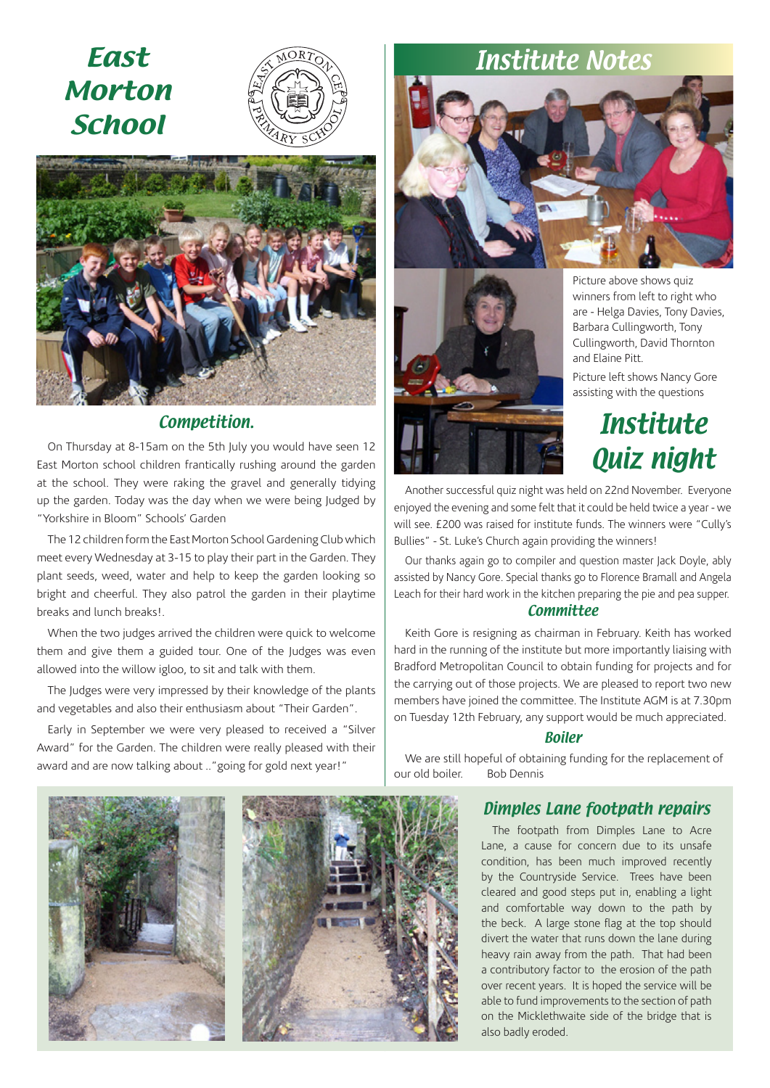## East Morton **School**





### Competition.

On Thursday at 8-15am on the 5th July you would have seen 12 East Morton school children frantically rushing around the garden at the school. They were raking the gravel and generally tidying up the garden. Today was the day when we were being Judged by "Yorkshire in Bloom" Schools' Garden

The 12 children form the East Morton School Gardening Club which meet every Wednesday at 3-15 to play their part in the Garden. They plant seeds, weed, water and help to keep the garden looking so bright and cheerful. They also patrol the garden in their playtime breaks and lunch breaks!.

When the two judges arrived the children were quick to welcome them and give them a guided tour. One of the Judges was even allowed into the willow igloo, to sit and talk with them.

The Judges were very impressed by their knowledge of the plants and vegetables and also their enthusiasm about "Their Garden".

Early in September we were very pleased to received a "Silver Award" for the Garden. The children were really pleased with their award and are now talking about .."going for gold next year!"

# Institute Notes





Picture above shows quiz winners from left to right who are - Helga Davies, Tony Davies, Barbara Cullingworth, Tony Cullingworth, David Thornton and Elaine Pitt.

Picture left shows Nancy Gore assisting with the questions

## **Institute** Quiz night

Another successful quiz night was held on 22nd November. Everyone enjoyed the evening and some felt that it could be held twice a year - we will see. £200 was raised for institute funds. The winners were "Cully's Bullies" - St. Luke's Church again providing the winners!

Our thanks again go to compiler and question master Jack Doyle, ably assisted by Nancy Gore. Special thanks go to Florence Bramall and Angela Leach for their hard work in the kitchen preparing the pie and pea supper.

#### **Committee**

Keith Gore is resigning as chairman in February. Keith has worked hard in the running of the institute but more importantly liaising with Bradford Metropolitan Council to obtain funding for projects and for the carrying out of those projects. We are pleased to report two new members have joined the committee. The Institute AGM is at 7.30pm on Tuesday 12th February, any support would be much appreciated.

#### Boiler

We are still hopeful of obtaining funding for the replacement of our old boiler. Bob Dennis



### Dimples Lane footpath repairs

The footpath from Dimples Lane to Acre Lane, a cause for concern due to its unsafe condition, has been much improved recently by the Countryside Service. Trees have been cleared and good steps put in, enabling a light and comfortable way down to the path by the beck. A large stone flag at the top should divert the water that runs down the lane during heavy rain away from the path. That had been a contributory factor to the erosion of the path over recent years. It is hoped the service will be able to fund improvements to the section of path on the Micklethwaite side of the bridge that is also badly eroded.